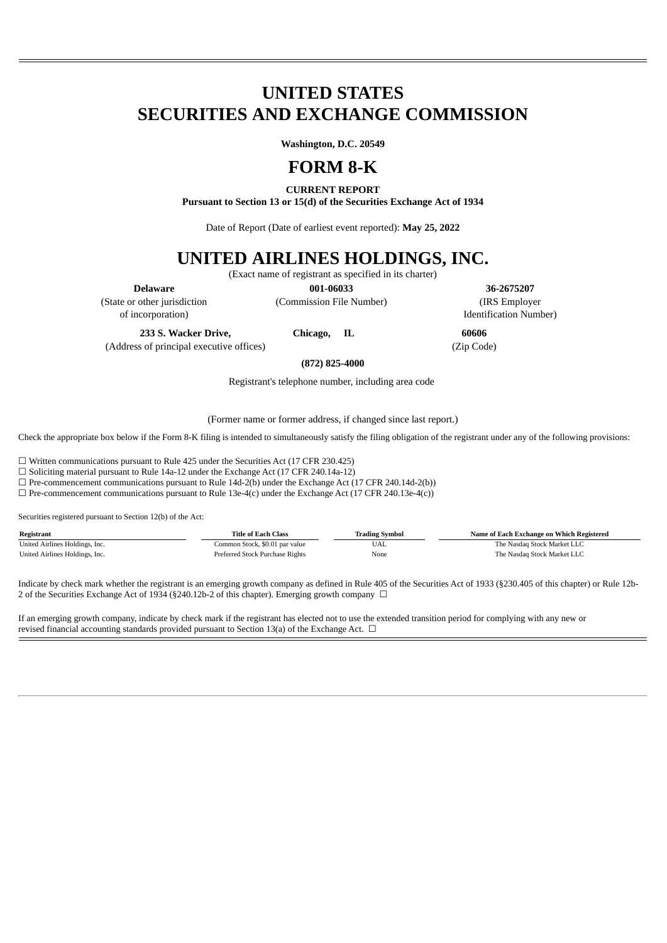# **UNITED STATES SECURITIES AND EXCHANGE COMMISSION**

**Washington, D.C. 20549**

## **FORM 8-K**

**CURRENT REPORT**

**Pursuant to Section 13 or 15(d) of the Securities Exchange Act of 1934**

Date of Report (Date of earliest event reported): **May 25, 2022**

## **UNITED AIRLINES HOLDINGS, INC.**

(Exact name of registrant as specified in its charter)

**Delaware 001-06033 36-2675207** (State or other jurisdiction (Commission File Number) (IRS Employer

of incorporation) Identification Number)

**233 S. Wacker Drive, Chicago, IL 60606**

(Address of principal executive offices) (Zip Code)

**(872) 825-4000**

Registrant's telephone number, including area code

(Former name or former address, if changed since last report.)

Check the appropriate box below if the Form 8-K filing is intended to simultaneously satisfy the filing obligation of the registrant under any of the following provisions:

☐ Written communications pursuant to Rule 425 under the Securities Act (17 CFR 230.425)

 $\square$  Soliciting material pursuant to Rule 14a-12 under the Exchange Act (17 CFR 240.14a-12)

☐ Pre-commencement communications pursuant to Rule 14d-2(b) under the Exchange Act (17 CFR 240.14d-2(b))

 $\Box$  Pre-commencement communications pursuant to Rule 13e-4(c) under the Exchange Act (17 CFR 240.13e-4(c))

Securities registered pursuant to Section 12(b) of the Act:

| Registrant                     | <b>Title of Each Class</b>      | <b>Trading Symbol</b> | Name of Each Exchange on Which Registered |
|--------------------------------|---------------------------------|-----------------------|-------------------------------------------|
| United Airlines Holdings, Inc. | Common Stock, \$0.01 par value  | UAL                   | The Nasdag Stock Market LLC               |
| United Airlines Holdings, Inc. | Preferred Stock Purchase Rights | None                  | The Nasdag Stock Market LLC               |

Indicate by check mark whether the registrant is an emerging growth company as defined in Rule 405 of the Securities Act of 1933 (§230.405 of this chapter) or Rule 12b-2 of the Securities Exchange Act of 1934 (§240.12b-2 of this chapter). Emerging growth company □

If an emerging growth company, indicate by check mark if the registrant has elected not to use the extended transition period for complying with any new or revised financial accounting standards provided pursuant to Section 13(a) of the Exchange Act.  $\Box$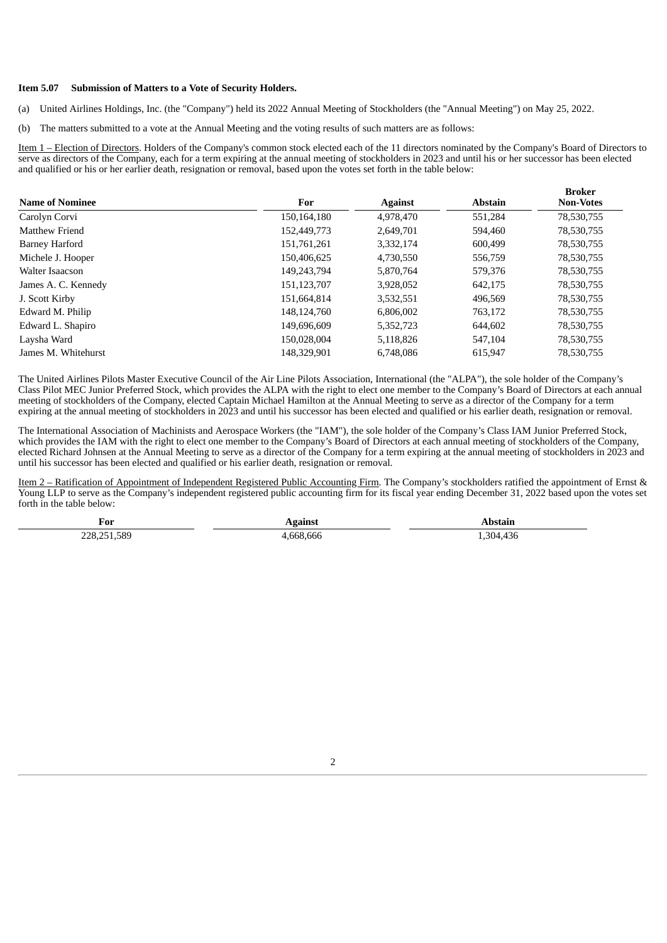#### **Item 5.07 Submission of Matters to a Vote of Security Holders.**

(a) United Airlines Holdings, Inc. (the "Company") held its 2022 Annual Meeting of Stockholders (the "Annual Meeting") on May 25, 2022.

(b) The matters submitted to a vote at the Annual Meeting and the voting results of such matters are as follows:

Item 1 – Election of Directors. Holders of the Company's common stock elected each of the 11 directors nominated by the Company's Board of Directors to serve as directors of the Company, each for a term expiring at the annual meeting of stockholders in 2023 and until his or her successor has been elected and qualified or his or her earlier death, resignation or removal, based upon the votes set forth in the table below:

| <b>Name of Nominee</b> | For         | <b>Against</b> | <b>Abstain</b> | <b>Broker</b><br><b>Non-Votes</b> |
|------------------------|-------------|----------------|----------------|-----------------------------------|
| Carolyn Corvi          | 150,164,180 | 4,978,470      | 551,284        | 78,530,755                        |
| Matthew Friend         | 152,449,773 | 2,649,701      | 594,460        | 78,530,755                        |
| Barney Harford         | 151,761,261 | 3,332,174      | 600,499        | 78,530,755                        |
| Michele J. Hooper      | 150,406,625 | 4,730,550      | 556,759        | 78,530,755                        |
| Walter Isaacson        | 149,243,794 | 5,870,764      | 579,376        | 78,530,755                        |
| James A. C. Kennedy    | 151,123,707 | 3,928,052      | 642,175        | 78,530,755                        |
| J. Scott Kirby         | 151,664,814 | 3,532,551      | 496,569        | 78,530,755                        |
| Edward M. Philip       | 148,124,760 | 6,806,002      | 763,172        | 78,530,755                        |
| Edward L. Shapiro      | 149,696,609 | 5,352,723      | 644,602        | 78,530,755                        |
| Laysha Ward            | 150,028,004 | 5,118,826      | 547,104        | 78,530,755                        |
| James M. Whitehurst    | 148.329.901 | 6,748,086      | 615.947        | 78,530,755                        |

The United Airlines Pilots Master Executive Council of the Air Line Pilots Association, International (the "ALPA"), the sole holder of the Company's Class Pilot MEC Junior Preferred Stock, which provides the ALPA with the right to elect one member to the Company's Board of Directors at each annual meeting of stockholders of the Company, elected Captain Michael Hamilton at the Annual Meeting to serve as a director of the Company for a term expiring at the annual meeting of stockholders in 2023 and until his successor has been elected and qualified or his earlier death, resignation or removal.

The International Association of Machinists and Aerospace Workers (the "IAM"), the sole holder of the Company's Class IAM Junior Preferred Stock, which provides the IAM with the right to elect one member to the Company's Board of Directors at each annual meeting of stockholders of the Company, elected Richard Johnsen at the Annual Meeting to serve as a director of the Company for a term expiring at the annual meeting of stockholders in 2023 and until his successor has been elected and qualified or his earlier death, resignation or removal.

Item 2 – Ratification of Appointment of Independent Registered Public Accounting Firm. The Company's stockholders ratified the appointment of Ernst & Young LLP to serve as the Company's independent registered public accounting firm for its fiscal year ending December 31, 2022 based upon the votes set forth in the table below:

| For         | nainct<br>зашы |         |
|-------------|----------------|---------|
| 228,251,589 | 668,666        | 304.436 |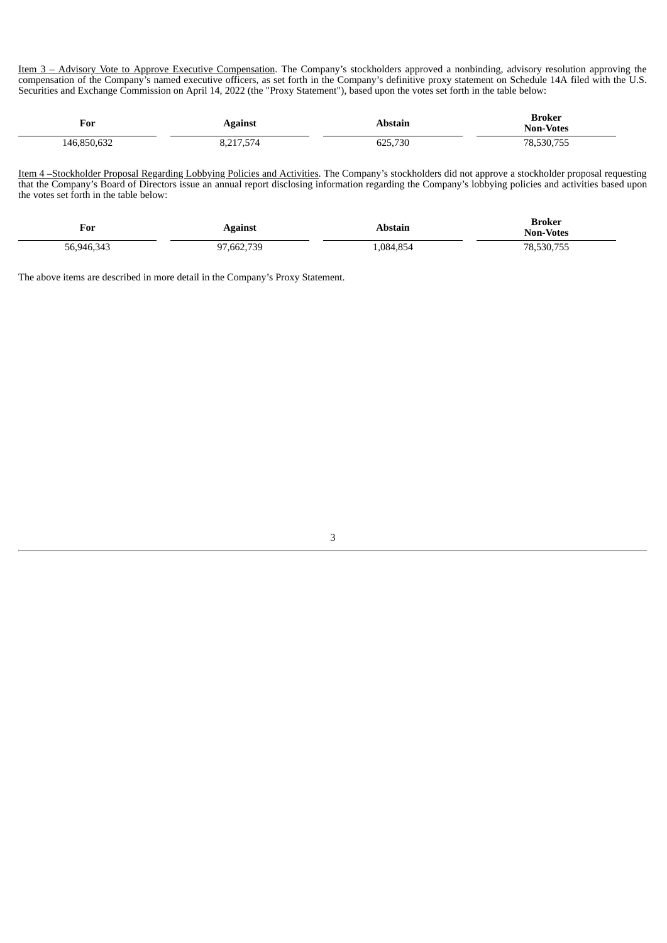Item 3 – Advisory Vote to Approve Executive Compensation. The Company's stockholders approved a nonbinding, advisory resolution approving the compensation of the Company's named executive officers, as set forth in the Company's definitive proxy statement on Schedule 14A filed with the U.S. Securities and Exchange Commission on April 14, 2022 (the "Proxy Statement"), based upon the votes set forth in the table below:

| For           | ∡gainst                      | bstain      | Broker<br><b>Non-Votes</b> |
|---------------|------------------------------|-------------|----------------------------|
| $\sim$<br>.AF | $ -$<br>D15<br>0, 2, 1, 0, 7 | ,730<br>חמי | 78,530,755                 |

Item 4-Stockholder Proposal Regarding Lobbying Policies and Activities. The Company's stockholders did not approve a stockholder proposal requesting that the Company's Board of Directors issue an annual report disclosing information regarding the Company's lobbying policies and activities based upon the votes set forth in the table below:

| $\mathbf{r}$<br>For | Against  | Abstain  | Broker<br><b>Non-Votes</b> |
|---------------------|----------|----------|----------------------------|
| 56.946.343          | ,662,739 | ,084,854 | $- - -$<br>30,755          |

The above items are described in more detail in the Company's Proxy Statement.

3